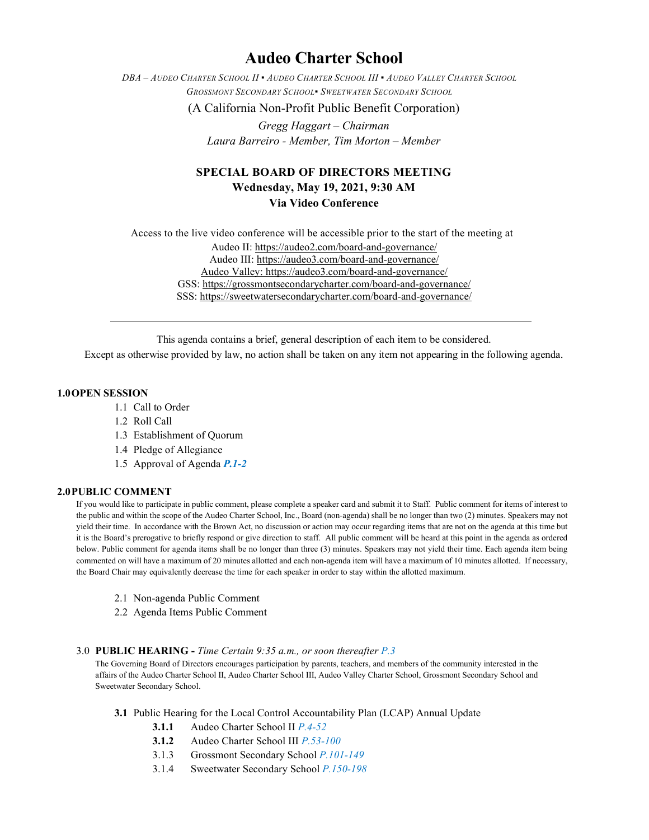# **Audeo Charter School**

*DBA – AUDEO CHARTER SCHOOL II ▪ AUDEO CHARTER SCHOOL III ▪ AUDEO VALLEY CHARTER SCHOOL GROSSMONT SECONDARY SCHOOL▪ SWEETWATER SECONDARY SCHOOL*

(A California Non-Profit Public Benefit Corporation)

*Gregg Haggart – Chairman Laura Barreiro - Member, Tim Morton – Member*

## **SPECIAL BOARD OF DIRECTORS MEETING Wednesday, May 19, 2021, 9:30 AM Via Video Conference**

Access to the live video conference will be accessible prior to the start of the meeting at Audeo II[: https://audeo2.com/board-and-governance/](https://audeo2.com/board-and-governance/) Audeo III:<https://audeo3.com/board-and-governance/> Audeo Valley: <https://audeo3.com/board-and-governance/> GSS:<https://grossmontsecondarycharter.com/board-and-governance/> SSS:<https://sweetwatersecondarycharter.com/board-and-governance/>

This agenda contains a brief, general description of each item to be considered.

Except as otherwise provided by law, no action shall be taken on any item not appearing in the following agenda.

#### **1.0OPEN SESSION**

- 1.1 Call to Order
- 1.2 Roll Call
- 1.3 Establishment of Quorum
- 1.4 Pledge of Allegiance
- 1.5 Approval of Agenda *P.1-2*

#### **2.0PUBLIC COMMENT**

If you would like to participate in public comment, please complete a speaker card and submit it to Staff. Public comment for items of interest to the public and within the scope of the Audeo Charter School, Inc., Board (non-agenda) shall be no longer than two (2) minutes. Speakers may not yield their time. In accordance with the Brown Act, no discussion or action may occur regarding items that are not on the agenda at this time but it is the Board's prerogative to briefly respond or give direction to staff. All public comment will be heard at this point in the agenda as ordered below. Public comment for agenda items shall be no longer than three (3) minutes. Speakers may not yield their time. Each agenda item being commented on will have a maximum of 20 minutes allotted and each non-agenda item will have a maximum of 10 minutes allotted. If necessary, the Board Chair may equivalently decrease the time for each speaker in order to stay within the allotted maximum.

- 2.1 Non-agenda Public Comment
- 2.2 Agenda Items Public Comment

#### 3.0 **PUBLIC HEARING -** *Time Certain 9:35 a.m., or soon thereafter P.3*

The Governing Board of Directors encourages participation by parents, teachers, and members of the community interested in the affairs of the Audeo Charter School II, Audeo Charter School III, Audeo Valley Charter School, Grossmont Secondary School and Sweetwater Secondary School.

- **3.1** Public Hearing for the Local Control Accountability Plan (LCAP) Annual Update
	- **3.1.1** Audeo Charter School II *P.4-52*
	- **3.1.2** Audeo Charter School III *P.53-100*
	- 3.1.3 Grossmont Secondary School *P.101-149*
	- 3.1.4 Sweetwater Secondary School *P.150-198*